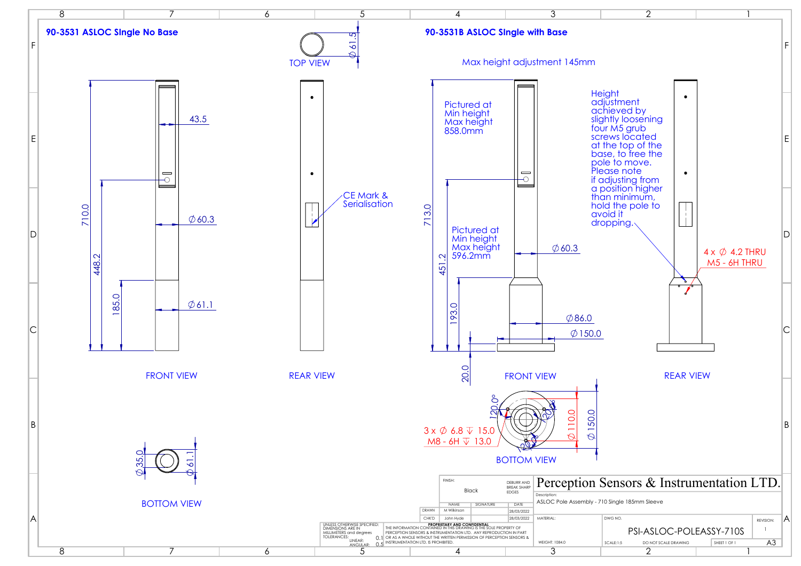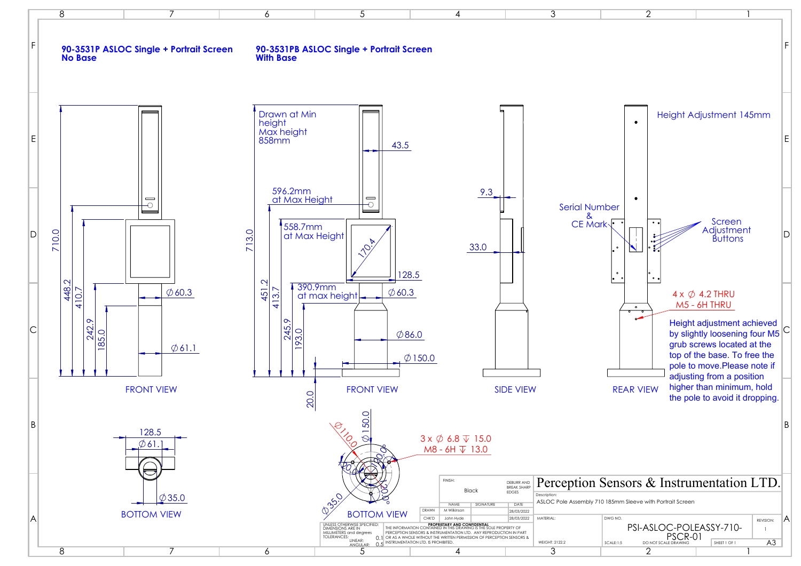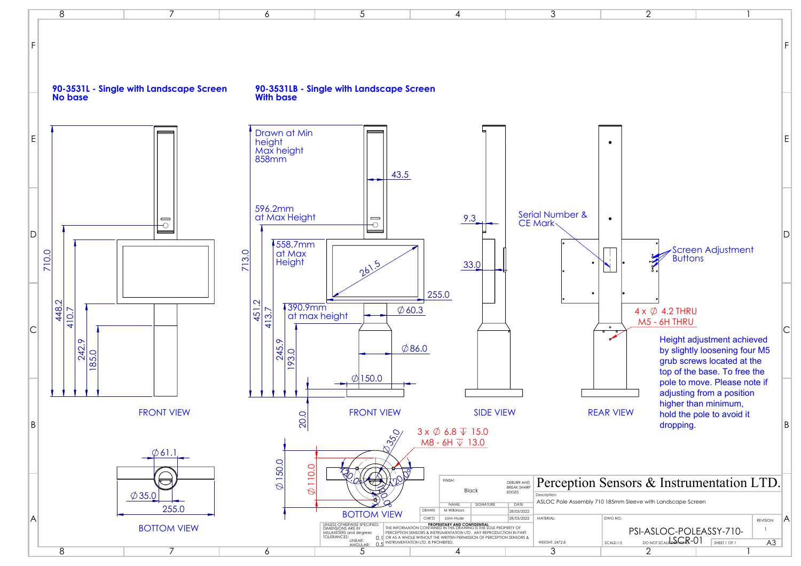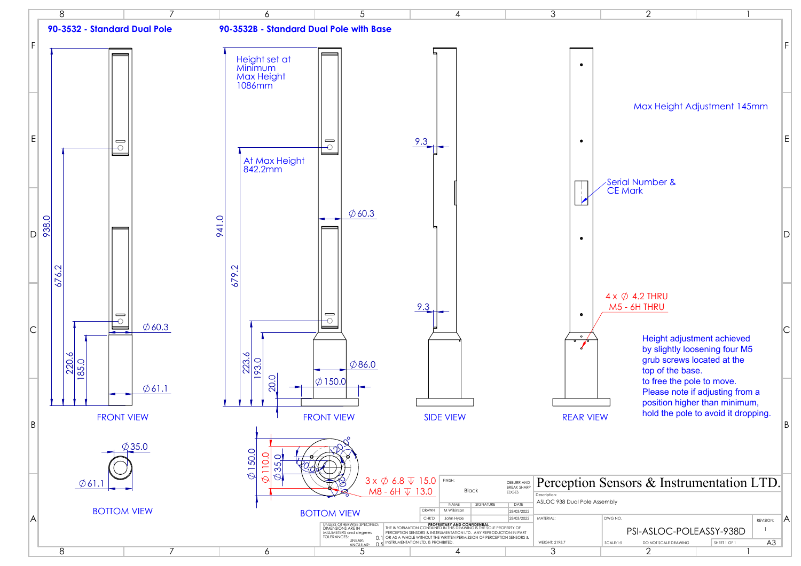| 2<br>I                                                                                                                                                         |   |
|----------------------------------------------------------------------------------------------------------------------------------------------------------------|---|
|                                                                                                                                                                | F |
| Max Height Adjustment 145mm                                                                                                                                    | E |
| <b>Serial Number &amp;</b>                                                                                                                                     |   |
| <b>CE Mark</b>                                                                                                                                                 |   |
|                                                                                                                                                                |   |
| $4 \times \emptyset$ 4.2 THRU<br>M5 - 6H THRU<br>Height adjustment achieved<br>by slightly loosening four M5<br>grub screws located at the<br>top of the base. | C |
| to free the pole to move.<br>Please note if adjusting from a<br>position higher than minimum,<br>hold the pole to avoid it dropping.                           | B |
| Sensors & Instrumentation LTD.                                                                                                                                 |   |
| embly                                                                                                                                                          |   |
| DWG NO.<br>REVISION:                                                                                                                                           | A |
| 1<br>PSI-ASLOC-POLEASSY-938D<br>A <sub>3</sub><br>SHEET 1 OF 1<br>SCALE:1:5<br>DO NOT SCALE DRAWING                                                            |   |
| 2<br>I                                                                                                                                                         |   |

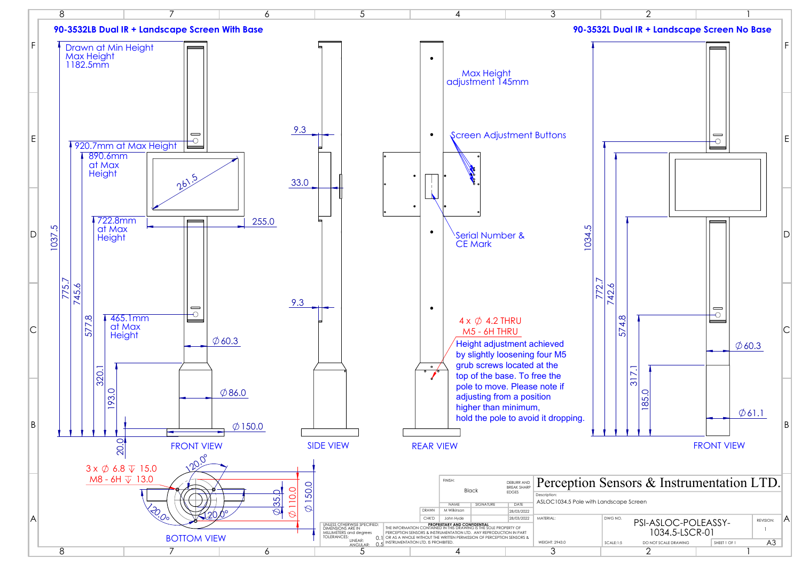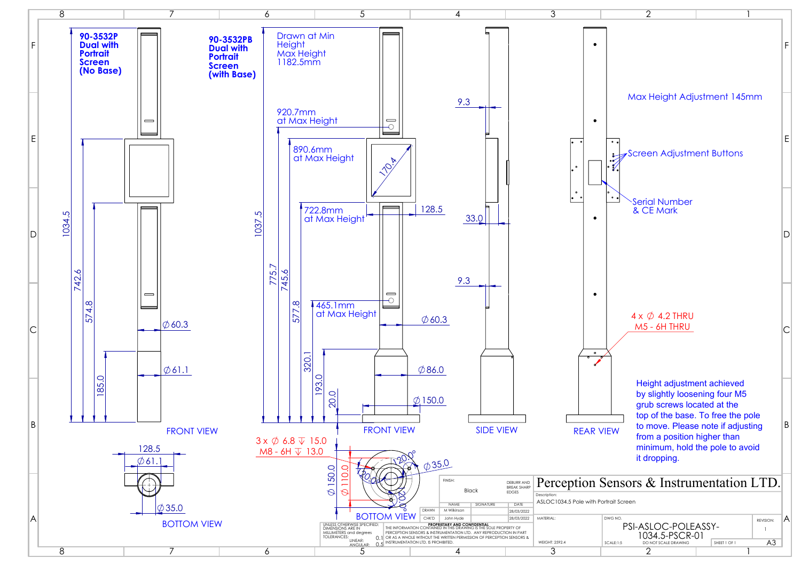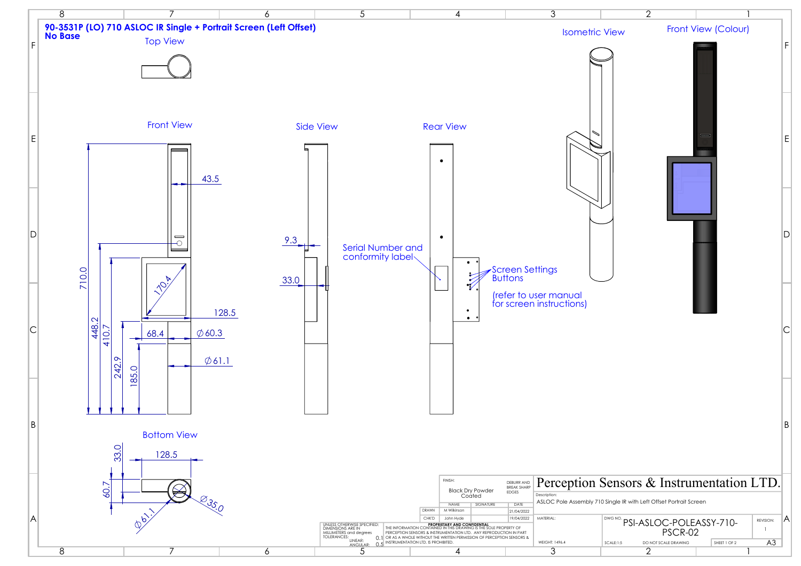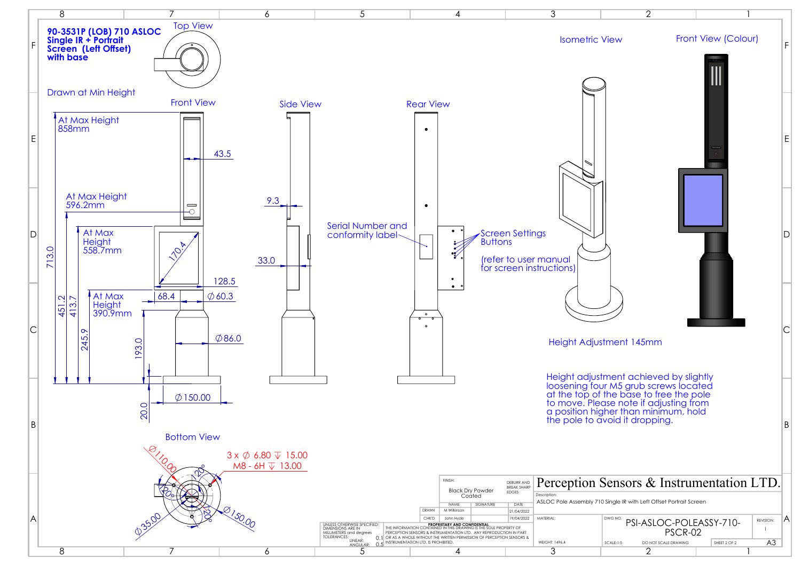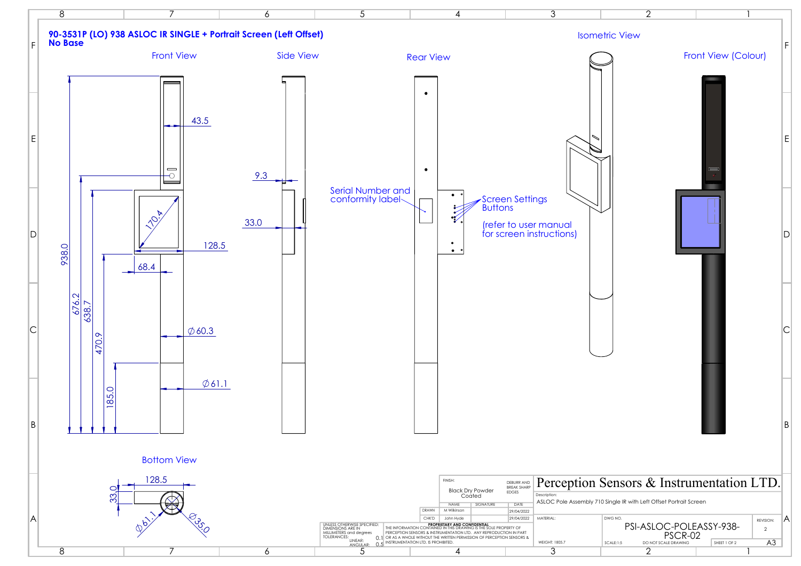

| F<br>Front View (Colour)<br>Ε<br>▬<br>D<br>B<br>Sensors & Instrumentation LTD.<br>) Single IR with Left Offset Portrait Screen<br>DWG NO.<br>Α<br>REVISION:<br>PSI-ASLOC-POLEASSY-938-<br>$\mathbf{2}$<br>PSCR-02<br>A3<br>DO NOT SCALE DRAWING<br>SCALE:1:5<br>SHEET 1 OF 2<br>$\overline{2}$<br>1 | $\overline{2}$   | 1 |  |
|-----------------------------------------------------------------------------------------------------------------------------------------------------------------------------------------------------------------------------------------------------------------------------------------------------|------------------|---|--|
|                                                                                                                                                                                                                                                                                                     | <b>tric View</b> |   |  |
|                                                                                                                                                                                                                                                                                                     |                  |   |  |
|                                                                                                                                                                                                                                                                                                     |                  |   |  |
|                                                                                                                                                                                                                                                                                                     |                  |   |  |
|                                                                                                                                                                                                                                                                                                     |                  |   |  |
|                                                                                                                                                                                                                                                                                                     |                  |   |  |